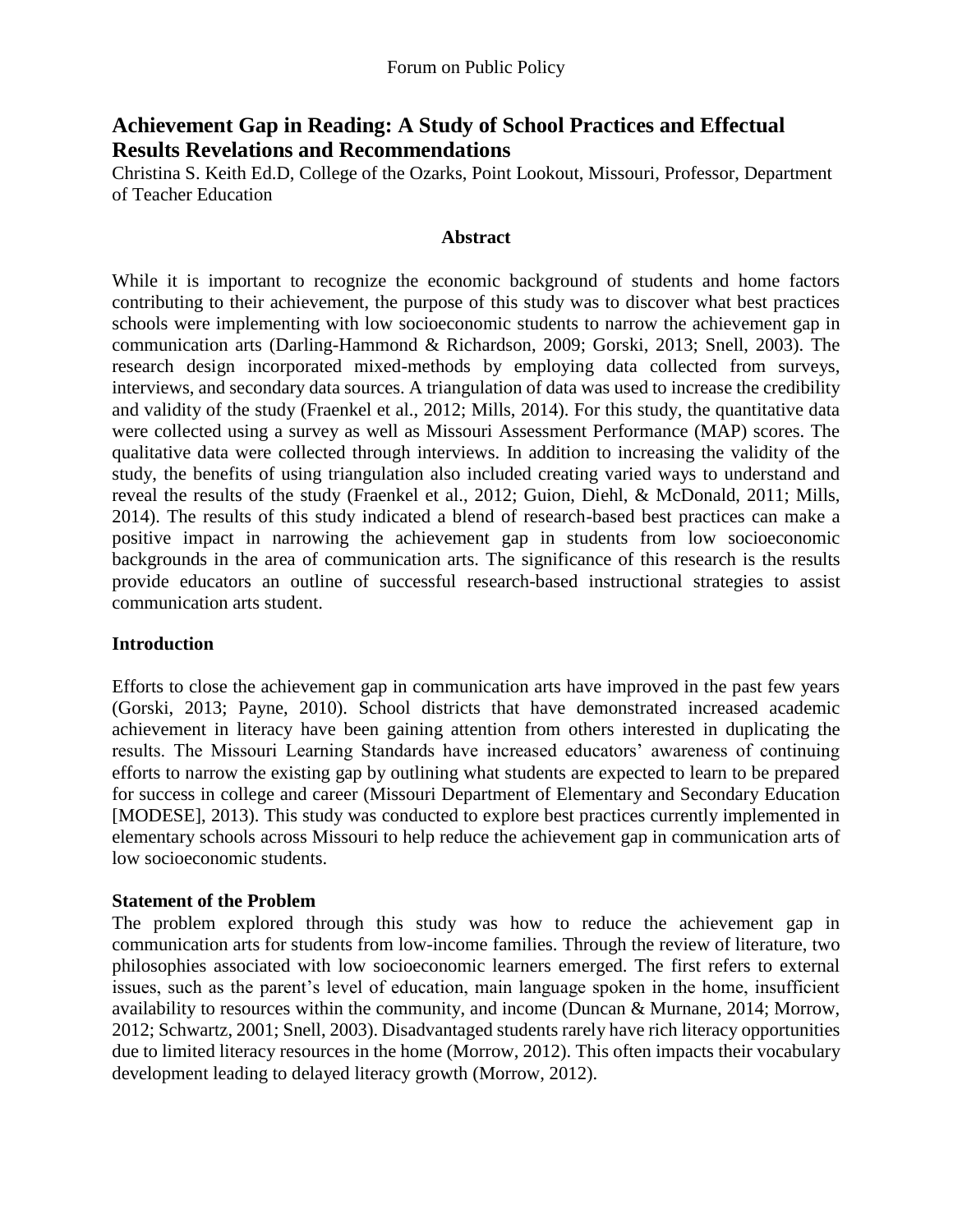# **Achievement Gap in Reading: A Study of School Practices and Effectual Results Revelations and Recommendations**

Christina S. Keith Ed.D, College of the Ozarks, Point Lookout, Missouri, Professor, Department of Teacher Education

#### **Abstract**

While it is important to recognize the economic background of students and home factors contributing to their achievement, the purpose of this study was to discover what best practices schools were implementing with low socioeconomic students to narrow the achievement gap in communication arts (Darling-Hammond & Richardson, 2009; Gorski, 2013; Snell, 2003). The research design incorporated mixed-methods by employing data collected from surveys, interviews, and secondary data sources. A triangulation of data was used to increase the credibility and validity of the study (Fraenkel et al., 2012; Mills, 2014). For this study, the quantitative data were collected using a survey as well as Missouri Assessment Performance (MAP) scores. The qualitative data were collected through interviews. In addition to increasing the validity of the study, the benefits of using triangulation also included creating varied ways to understand and reveal the results of the study (Fraenkel et al., 2012; Guion, Diehl, & McDonald, 2011; Mills, 2014). The results of this study indicated a blend of research-based best practices can make a positive impact in narrowing the achievement gap in students from low socioeconomic backgrounds in the area of communication arts. The significance of this research is the results provide educators an outline of successful research-based instructional strategies to assist communication arts student.

### **Introduction**

Efforts to close the achievement gap in communication arts have improved in the past few years (Gorski, 2013; Payne, 2010). School districts that have demonstrated increased academic achievement in literacy have been gaining attention from others interested in duplicating the results. The Missouri Learning Standards have increased educators' awareness of continuing efforts to narrow the existing gap by outlining what students are expected to learn to be prepared for success in college and career (Missouri Department of Elementary and Secondary Education [MODESE], 2013). This study was conducted to explore best practices currently implemented in elementary schools across Missouri to help reduce the achievement gap in communication arts of low socioeconomic students.

#### **Statement of the Problem**

The problem explored through this study was how to reduce the achievement gap in communication arts for students from low-income families. Through the review of literature, two philosophies associated with low socioeconomic learners emerged. The first refers to external issues, such as the parent's level of education, main language spoken in the home, insufficient availability to resources within the community, and income (Duncan & Murnane, 2014; Morrow, 2012; Schwartz, 2001; Snell, 2003). Disadvantaged students rarely have rich literacy opportunities due to limited literacy resources in the home (Morrow, 2012). This often impacts their vocabulary development leading to delayed literacy growth (Morrow, 2012).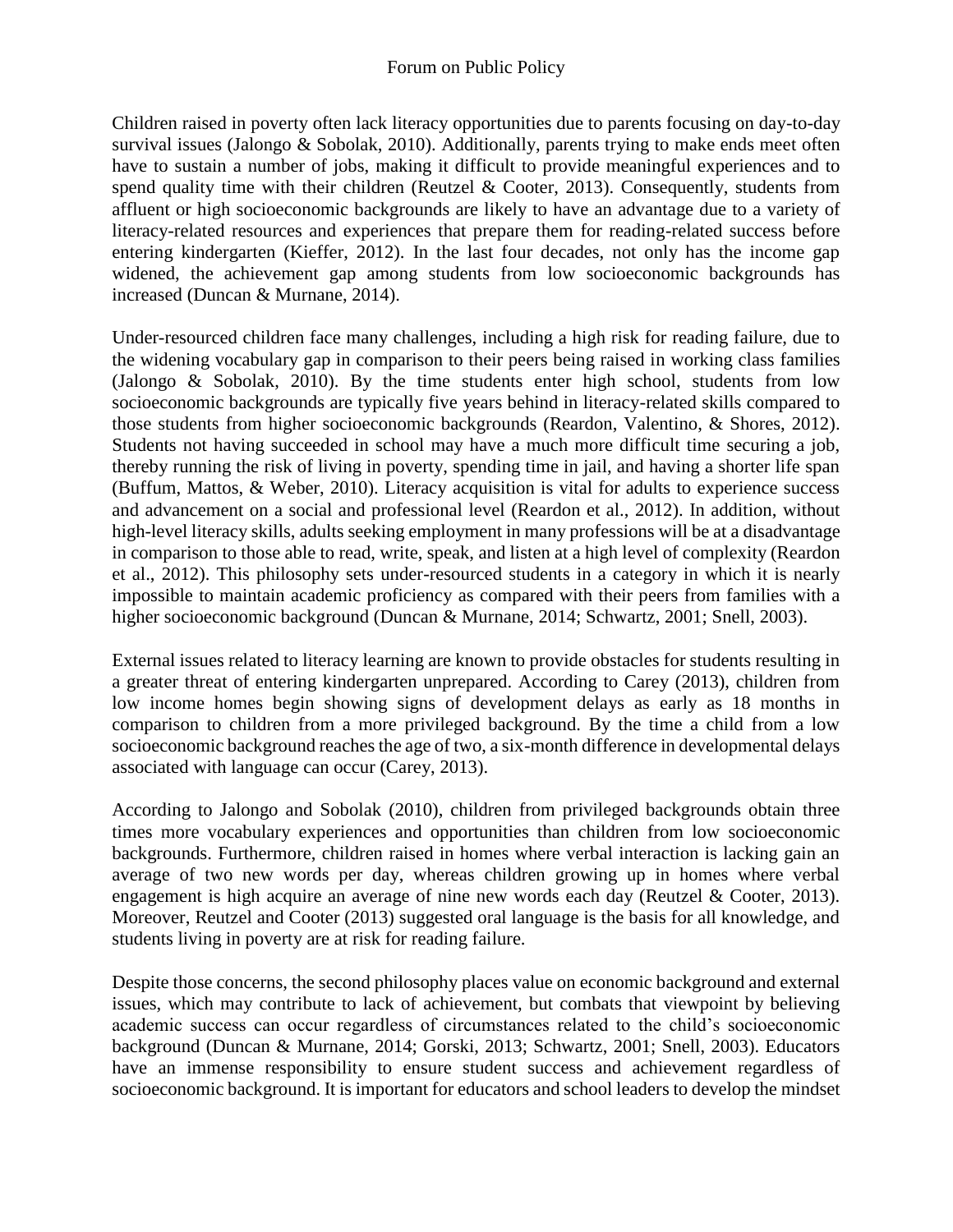Children raised in poverty often lack literacy opportunities due to parents focusing on day-to-day survival issues (Jalongo & Sobolak, 2010). Additionally, parents trying to make ends meet often have to sustain a number of jobs, making it difficult to provide meaningful experiences and to spend quality time with their children (Reutzel & Cooter, 2013). Consequently, students from affluent or high socioeconomic backgrounds are likely to have an advantage due to a variety of literacy-related resources and experiences that prepare them for reading-related success before entering kindergarten (Kieffer, 2012). In the last four decades, not only has the income gap widened, the achievement gap among students from low socioeconomic backgrounds has increased (Duncan & Murnane, 2014).

Under-resourced children face many challenges, including a high risk for reading failure, due to the widening vocabulary gap in comparison to their peers being raised in working class families (Jalongo & Sobolak, 2010). By the time students enter high school, students from low socioeconomic backgrounds are typically five years behind in literacy-related skills compared to those students from higher socioeconomic backgrounds (Reardon, Valentino, & Shores, 2012). Students not having succeeded in school may have a much more difficult time securing a job, thereby running the risk of living in poverty, spending time in jail, and having a shorter life span (Buffum, Mattos, & Weber, 2010). Literacy acquisition is vital for adults to experience success and advancement on a social and professional level (Reardon et al., 2012). In addition, without high-level literacy skills, adults seeking employment in many professions will be at a disadvantage in comparison to those able to read, write, speak, and listen at a high level of complexity (Reardon et al., 2012). This philosophy sets under-resourced students in a category in which it is nearly impossible to maintain academic proficiency as compared with their peers from families with a higher socioeconomic background (Duncan & Murnane, 2014; Schwartz, 2001; Snell, 2003).

External issues related to literacy learning are known to provide obstacles for students resulting in a greater threat of entering kindergarten unprepared. According to Carey (2013), children from low income homes begin showing signs of development delays as early as 18 months in comparison to children from a more privileged background. By the time a child from a low socioeconomic background reaches the age of two, a six-month difference in developmental delays associated with language can occur (Carey, 2013).

According to Jalongo and Sobolak (2010), children from privileged backgrounds obtain three times more vocabulary experiences and opportunities than children from low socioeconomic backgrounds. Furthermore, children raised in homes where verbal interaction is lacking gain an average of two new words per day, whereas children growing up in homes where verbal engagement is high acquire an average of nine new words each day (Reutzel & Cooter, 2013). Moreover, Reutzel and Cooter (2013) suggested oral language is the basis for all knowledge, and students living in poverty are at risk for reading failure.

Despite those concerns, the second philosophy places value on economic background and external issues, which may contribute to lack of achievement, but combats that viewpoint by believing academic success can occur regardless of circumstances related to the child's socioeconomic background (Duncan & Murnane, 2014; Gorski, 2013; Schwartz, 2001; Snell, 2003). Educators have an immense responsibility to ensure student success and achievement regardless of socioeconomic background. It is important for educators and school leaders to develop the mindset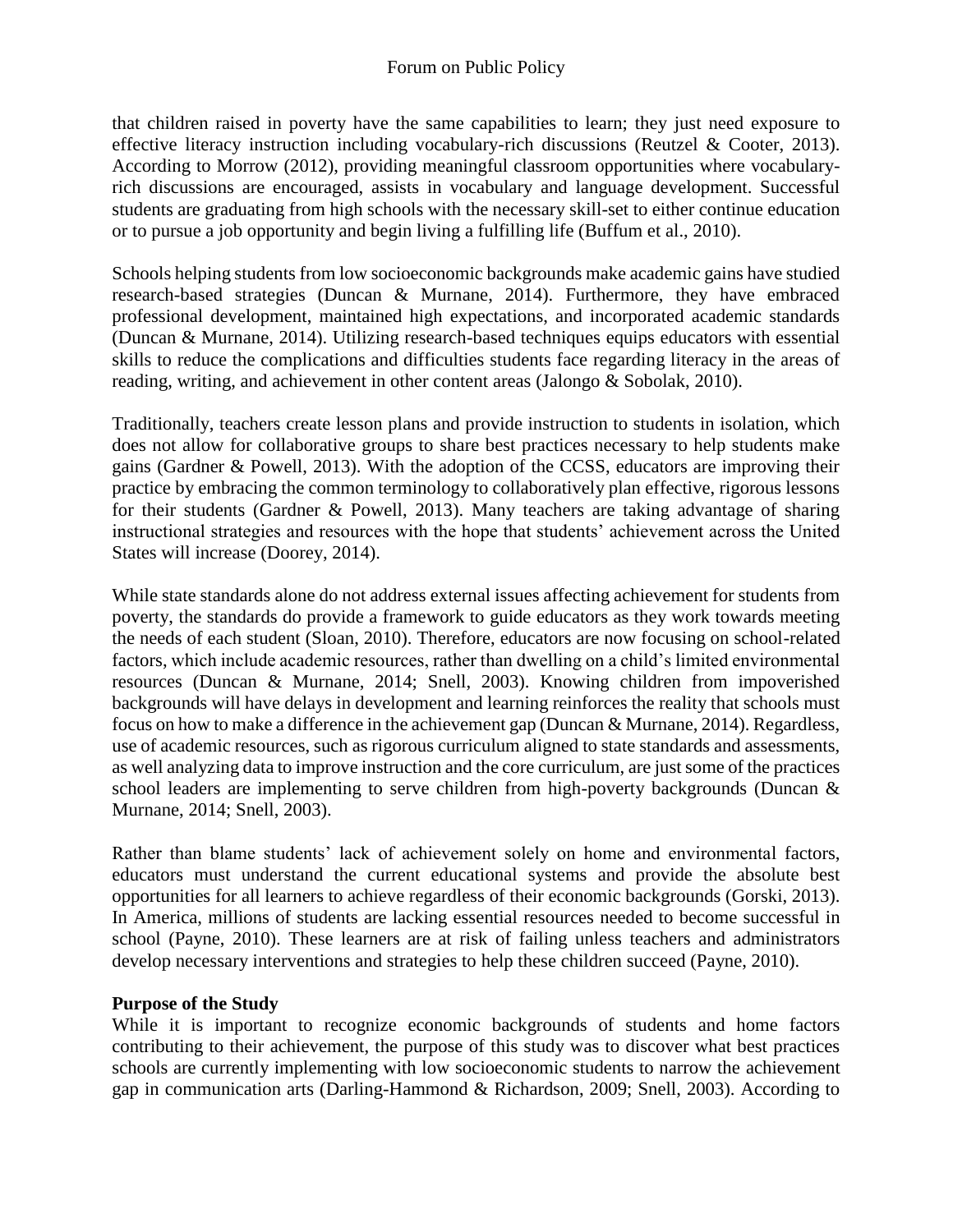that children raised in poverty have the same capabilities to learn; they just need exposure to effective literacy instruction including vocabulary-rich discussions (Reutzel & Cooter, 2013). According to Morrow (2012), providing meaningful classroom opportunities where vocabularyrich discussions are encouraged, assists in vocabulary and language development. Successful students are graduating from high schools with the necessary skill-set to either continue education or to pursue a job opportunity and begin living a fulfilling life (Buffum et al., 2010).

Schools helping students from low socioeconomic backgrounds make academic gains have studied research-based strategies (Duncan & Murnane, 2014). Furthermore, they have embraced professional development, maintained high expectations, and incorporated academic standards (Duncan & Murnane, 2014). Utilizing research-based techniques equips educators with essential skills to reduce the complications and difficulties students face regarding literacy in the areas of reading, writing, and achievement in other content areas (Jalongo & Sobolak, 2010).

Traditionally, teachers create lesson plans and provide instruction to students in isolation, which does not allow for collaborative groups to share best practices necessary to help students make gains (Gardner & Powell, 2013). With the adoption of the CCSS, educators are improving their practice by embracing the common terminology to collaboratively plan effective, rigorous lessons for their students (Gardner & Powell, 2013). Many teachers are taking advantage of sharing instructional strategies and resources with the hope that students' achievement across the United States will increase (Doorey, 2014).

While state standards alone do not address external issues affecting achievement for students from poverty, the standards do provide a framework to guide educators as they work towards meeting the needs of each student (Sloan, 2010). Therefore, educators are now focusing on school-related factors, which include academic resources, rather than dwelling on a child's limited environmental resources (Duncan & Murnane, 2014; Snell, 2003). Knowing children from impoverished backgrounds will have delays in development and learning reinforces the reality that schools must focus on how to make a difference in the achievement gap (Duncan & Murnane, 2014). Regardless, use of academic resources, such as rigorous curriculum aligned to state standards and assessments, as well analyzing data to improve instruction and the core curriculum, are just some of the practices school leaders are implementing to serve children from high-poverty backgrounds (Duncan & Murnane, 2014; Snell, 2003).

Rather than blame students' lack of achievement solely on home and environmental factors, educators must understand the current educational systems and provide the absolute best opportunities for all learners to achieve regardless of their economic backgrounds (Gorski, 2013). In America, millions of students are lacking essential resources needed to become successful in school (Payne, 2010). These learners are at risk of failing unless teachers and administrators develop necessary interventions and strategies to help these children succeed (Payne, 2010).

### **Purpose of the Study**

While it is important to recognize economic backgrounds of students and home factors contributing to their achievement, the purpose of this study was to discover what best practices schools are currently implementing with low socioeconomic students to narrow the achievement gap in communication arts (Darling-Hammond & Richardson, 2009; Snell, 2003). According to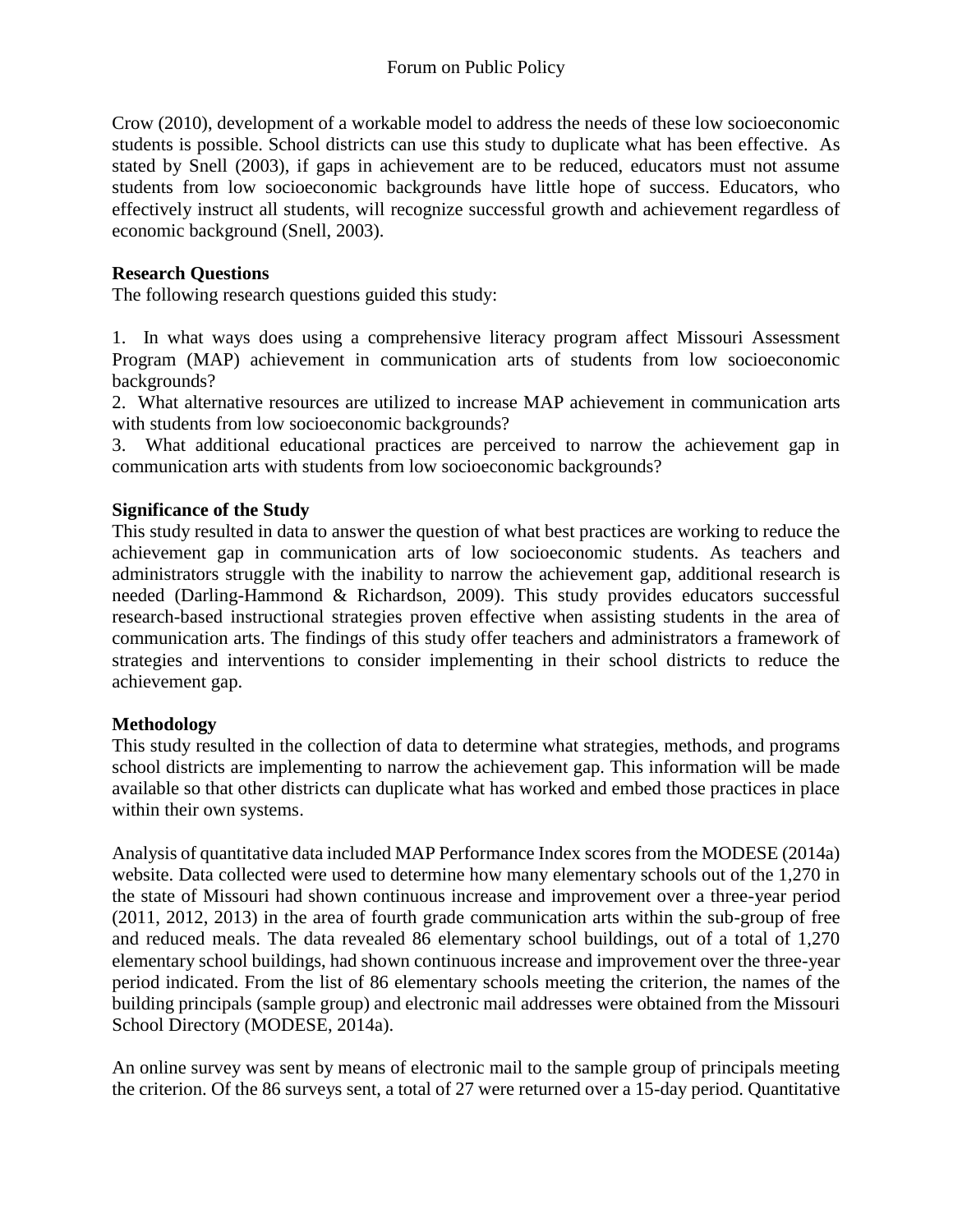Crow (2010), development of a workable model to address the needs of these low socioeconomic students is possible. School districts can use this study to duplicate what has been effective. As stated by Snell (2003), if gaps in achievement are to be reduced, educators must not assume students from low socioeconomic backgrounds have little hope of success. Educators, who effectively instruct all students, will recognize successful growth and achievement regardless of economic background (Snell, 2003).

## **Research Questions**

The following research questions guided this study:

1. In what ways does using a comprehensive literacy program affect Missouri Assessment Program (MAP) achievement in communication arts of students from low socioeconomic backgrounds?

2. What alternative resources are utilized to increase MAP achievement in communication arts with students from low socioeconomic backgrounds?

3. What additional educational practices are perceived to narrow the achievement gap in communication arts with students from low socioeconomic backgrounds?

## **Significance of the Study**

This study resulted in data to answer the question of what best practices are working to reduce the achievement gap in communication arts of low socioeconomic students. As teachers and administrators struggle with the inability to narrow the achievement gap, additional research is needed (Darling-Hammond & Richardson, 2009). This study provides educators successful research-based instructional strategies proven effective when assisting students in the area of communication arts. The findings of this study offer teachers and administrators a framework of strategies and interventions to consider implementing in their school districts to reduce the achievement gap.

### **Methodology**

This study resulted in the collection of data to determine what strategies, methods, and programs school districts are implementing to narrow the achievement gap. This information will be made available so that other districts can duplicate what has worked and embed those practices in place within their own systems.

Analysis of quantitative data included MAP Performance Index scores from the MODESE (2014a) website. Data collected were used to determine how many elementary schools out of the 1,270 in the state of Missouri had shown continuous increase and improvement over a three-year period (2011, 2012, 2013) in the area of fourth grade communication arts within the sub-group of free and reduced meals. The data revealed 86 elementary school buildings, out of a total of 1,270 elementary school buildings, had shown continuous increase and improvement over the three-year period indicated. From the list of 86 elementary schools meeting the criterion, the names of the building principals (sample group) and electronic mail addresses were obtained from the Missouri School Directory (MODESE, 2014a).

An online survey was sent by means of electronic mail to the sample group of principals meeting the criterion. Of the 86 surveys sent, a total of 27 were returned over a 15-day period. Quantitative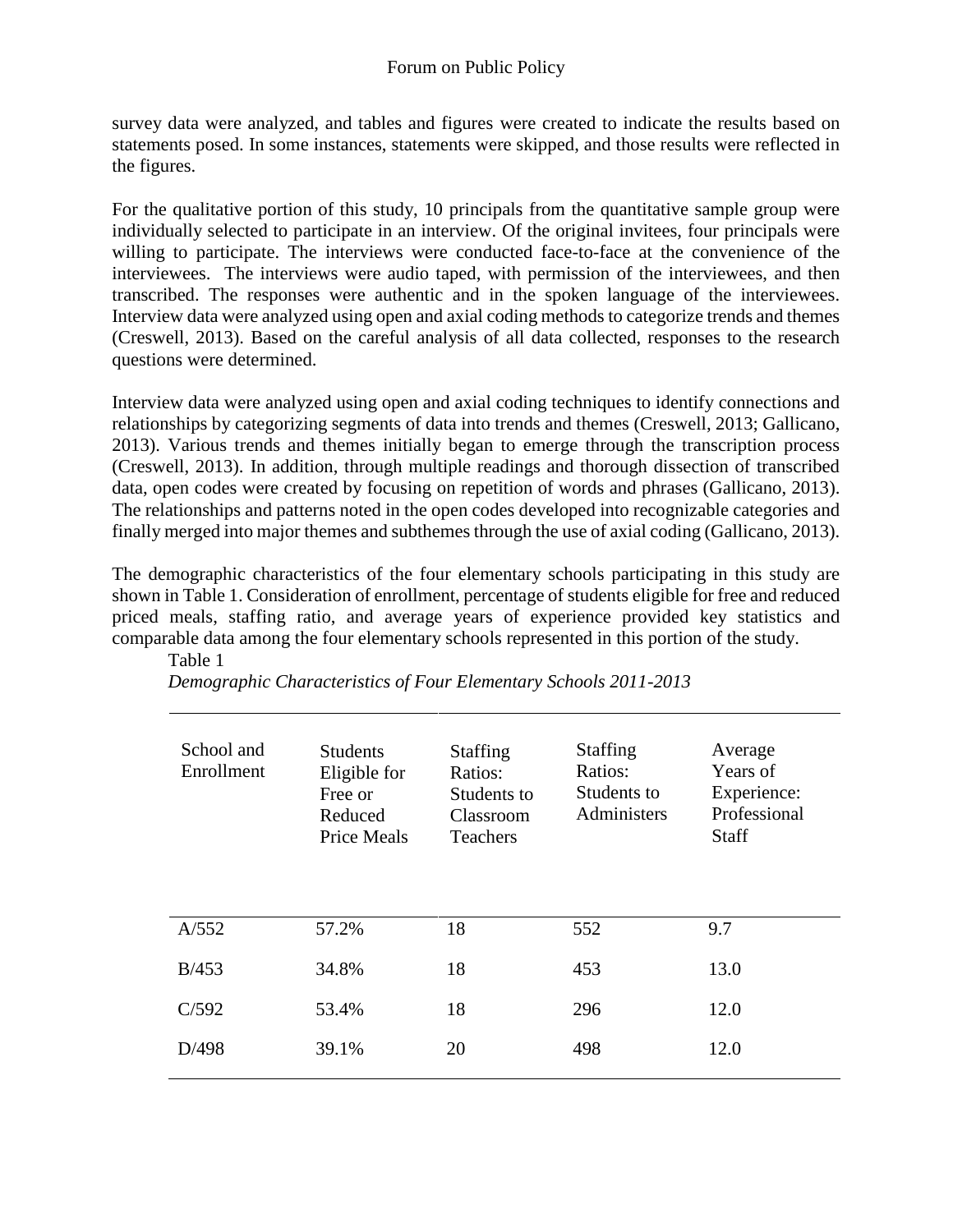survey data were analyzed, and tables and figures were created to indicate the results based on statements posed. In some instances, statements were skipped, and those results were reflected in the figures.

For the qualitative portion of this study, 10 principals from the quantitative sample group were individually selected to participate in an interview. Of the original invitees, four principals were willing to participate. The interviews were conducted face-to-face at the convenience of the interviewees. The interviews were audio taped, with permission of the interviewees, and then transcribed. The responses were authentic and in the spoken language of the interviewees. Interview data were analyzed using open and axial coding methods to categorize trends and themes (Creswell, 2013). Based on the careful analysis of all data collected, responses to the research questions were determined.

Interview data were analyzed using open and axial coding techniques to identify connections and relationships by categorizing segments of data into trends and themes (Creswell, 2013; Gallicano, 2013). Various trends and themes initially began to emerge through the transcription process (Creswell, 2013). In addition, through multiple readings and thorough dissection of transcribed data, open codes were created by focusing on repetition of words and phrases (Gallicano, 2013). The relationships and patterns noted in the open codes developed into recognizable categories and finally merged into major themes and subthemes through the use of axial coding (Gallicano, 2013).

The demographic characteristics of the four elementary schools participating in this study are shown in Table 1. Consideration of enrollment, percentage of students eligible for free and reduced priced meals, staffing ratio, and average years of experience provided key statistics and comparable data among the four elementary schools represented in this portion of the study. Table 1

| School and<br>Enrollment | <b>Students</b><br>Eligible for<br>Free or<br>Reduced<br><b>Price Meals</b> | <b>Staffing</b><br>Ratios:<br>Students to<br>Classroom<br><b>Teachers</b> | <b>Staffing</b><br>Ratios:<br>Students to<br>Administers | Average<br>Years of<br>Experience:<br>Professional<br><b>Staff</b> |
|--------------------------|-----------------------------------------------------------------------------|---------------------------------------------------------------------------|----------------------------------------------------------|--------------------------------------------------------------------|
| A/552                    | 57.2%                                                                       | 18                                                                        | 552                                                      | 9.7                                                                |
| B/453                    | 34.8%                                                                       | 18                                                                        | 453                                                      | 13.0                                                               |
| C/592                    | 53.4%                                                                       | 18                                                                        | 296                                                      | 12.0                                                               |
| D/498                    | 39.1%                                                                       | 20                                                                        | 498                                                      | 12.0                                                               |

*Demographic Characteristics of Four Elementary Schools 2011-2013*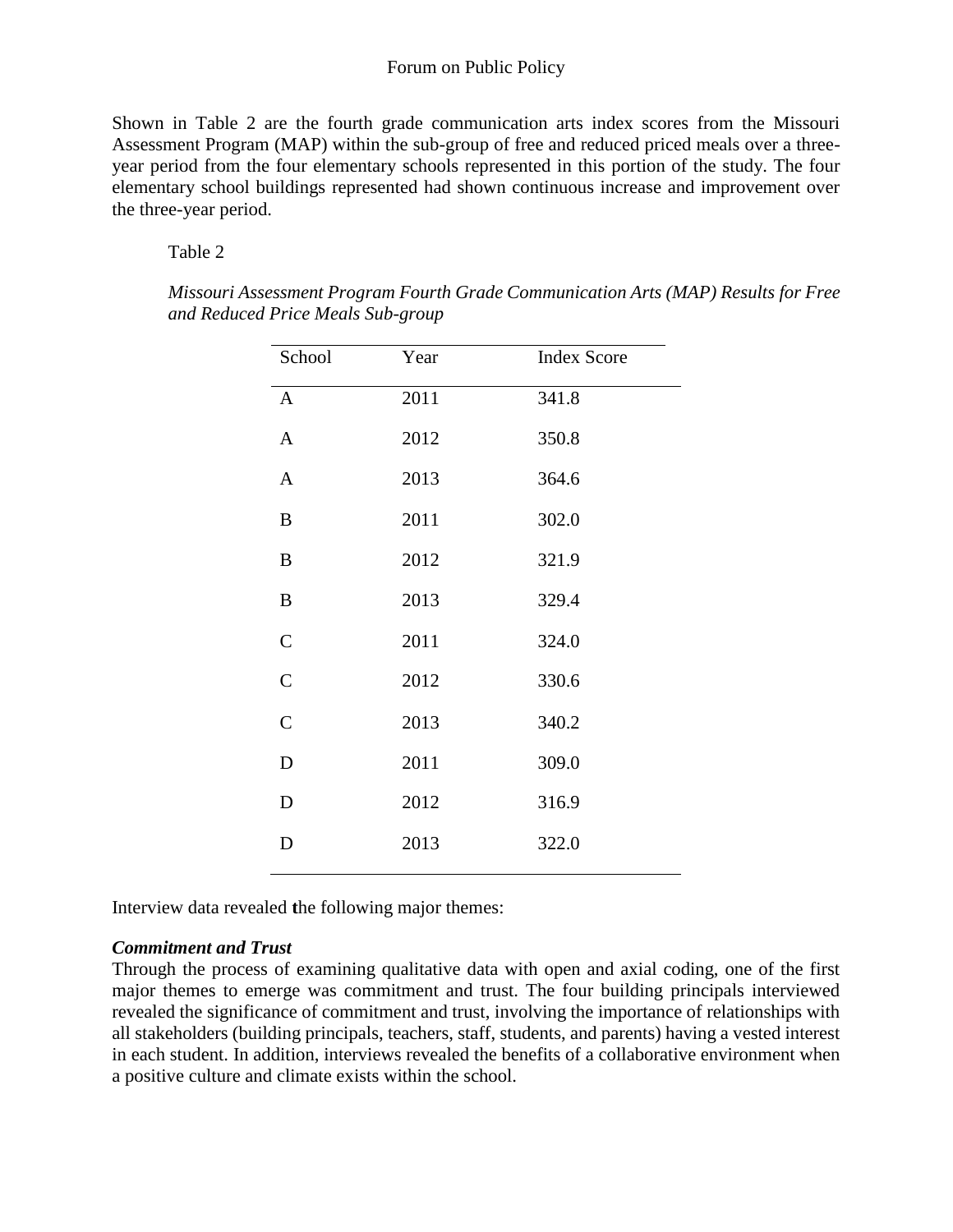Shown in Table 2 are the fourth grade communication arts index scores from the Missouri Assessment Program (MAP) within the sub-group of free and reduced priced meals over a threeyear period from the four elementary schools represented in this portion of the study. The four elementary school buildings represented had shown continuous increase and improvement over the three-year period.

#### Table 2

| School           | Year | <b>Index Score</b> |
|------------------|------|--------------------|
| $\mathbf{A}$     | 2011 | 341.8              |
| A                | 2012 | 350.8              |
| $\mathbf{A}$     | 2013 | 364.6              |
| $\boldsymbol{B}$ | 2011 | 302.0              |
| B                | 2012 | 321.9              |
| $\bf{B}$         | 2013 | 329.4              |
| $\mathsf{C}$     | 2011 | 324.0              |
| $\overline{C}$   | 2012 | 330.6              |
| $\mathcal{C}$    | 2013 | 340.2              |
| D                | 2011 | 309.0              |
| $\mathbf D$      | 2012 | 316.9              |
| D                | 2013 | 322.0              |
|                  |      |                    |

*Missouri Assessment Program Fourth Grade Communication Arts (MAP) Results for Free and Reduced Price Meals Sub-group* 

Interview data revealed **t**he following major themes:

#### *Commitment and Trust*

Through the process of examining qualitative data with open and axial coding, one of the first major themes to emerge was commitment and trust. The four building principals interviewed revealed the significance of commitment and trust, involving the importance of relationships with all stakeholders (building principals, teachers, staff, students, and parents) having a vested interest in each student. In addition, interviews revealed the benefits of a collaborative environment when a positive culture and climate exists within the school.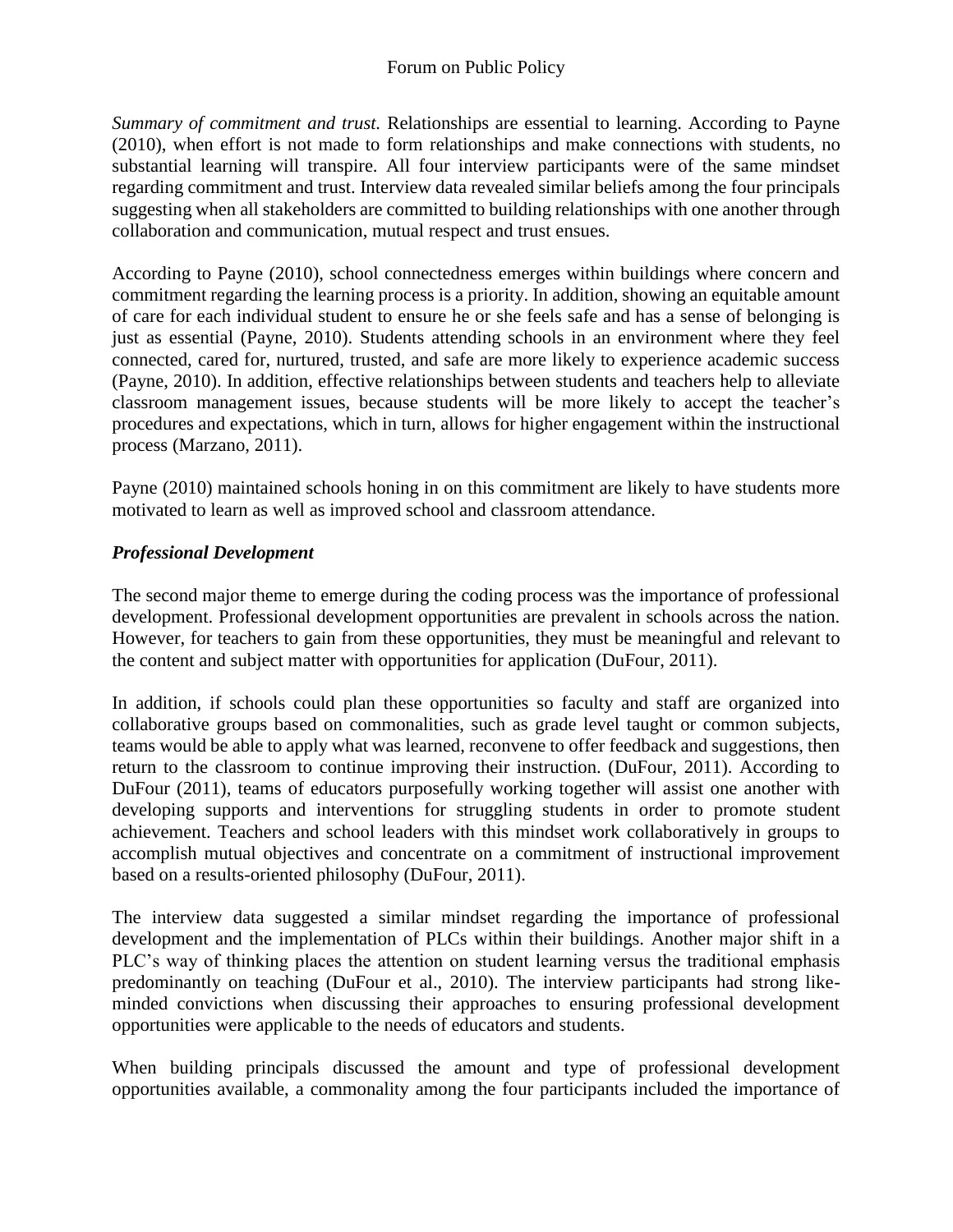*Summary of commitment and trust.* Relationships are essential to learning. According to Payne (2010), when effort is not made to form relationships and make connections with students, no substantial learning will transpire. All four interview participants were of the same mindset regarding commitment and trust. Interview data revealed similar beliefs among the four principals suggesting when all stakeholders are committed to building relationships with one another through collaboration and communication, mutual respect and trust ensues.

According to Payne (2010), school connectedness emerges within buildings where concern and commitment regarding the learning process is a priority. In addition, showing an equitable amount of care for each individual student to ensure he or she feels safe and has a sense of belonging is just as essential (Payne, 2010). Students attending schools in an environment where they feel connected, cared for, nurtured, trusted, and safe are more likely to experience academic success (Payne, 2010). In addition, effective relationships between students and teachers help to alleviate classroom management issues, because students will be more likely to accept the teacher's procedures and expectations, which in turn, allows for higher engagement within the instructional process (Marzano, 2011).

Payne (2010) maintained schools honing in on this commitment are likely to have students more motivated to learn as well as improved school and classroom attendance.

# *Professional Development*

The second major theme to emerge during the coding process was the importance of professional development. Professional development opportunities are prevalent in schools across the nation. However, for teachers to gain from these opportunities, they must be meaningful and relevant to the content and subject matter with opportunities for application (DuFour, 2011).

In addition, if schools could plan these opportunities so faculty and staff are organized into collaborative groups based on commonalities, such as grade level taught or common subjects, teams would be able to apply what was learned, reconvene to offer feedback and suggestions, then return to the classroom to continue improving their instruction. (DuFour, 2011). According to DuFour (2011), teams of educators purposefully working together will assist one another with developing supports and interventions for struggling students in order to promote student achievement. Teachers and school leaders with this mindset work collaboratively in groups to accomplish mutual objectives and concentrate on a commitment of instructional improvement based on a results-oriented philosophy (DuFour, 2011).

The interview data suggested a similar mindset regarding the importance of professional development and the implementation of PLCs within their buildings. Another major shift in a PLC's way of thinking places the attention on student learning versus the traditional emphasis predominantly on teaching (DuFour et al., 2010). The interview participants had strong likeminded convictions when discussing their approaches to ensuring professional development opportunities were applicable to the needs of educators and students.

When building principals discussed the amount and type of professional development opportunities available, a commonality among the four participants included the importance of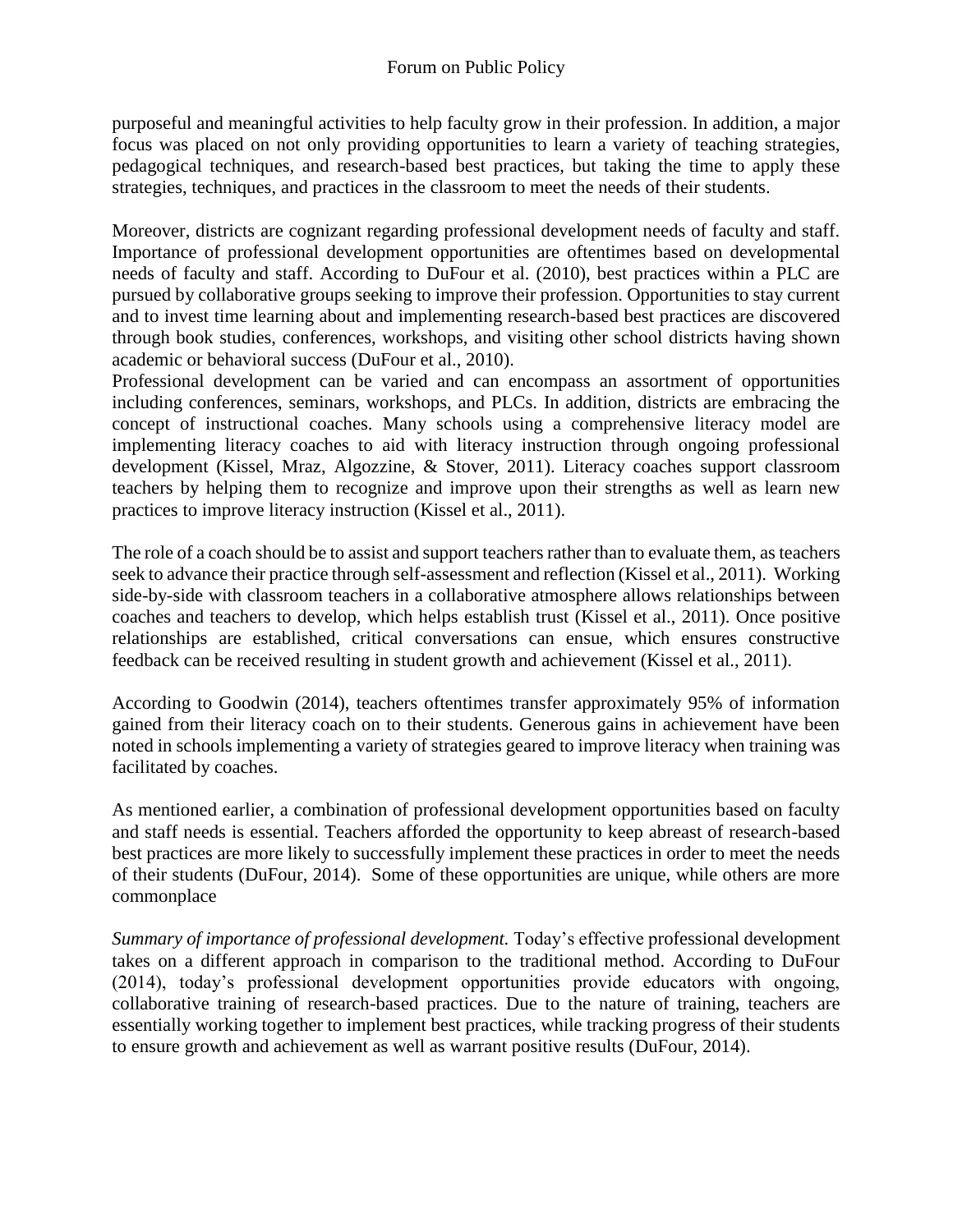purposeful and meaningful activities to help faculty grow in their profession. In addition, a major focus was placed on not only providing opportunities to learn a variety of teaching strategies, pedagogical techniques, and research-based best practices, but taking the time to apply these strategies, techniques, and practices in the classroom to meet the needs of their students.

Moreover, districts are cognizant regarding professional development needs of faculty and staff. Importance of professional development opportunities are oftentimes based on developmental needs of faculty and staff. According to DuFour et al. (2010), best practices within a PLC are pursued by collaborative groups seeking to improve their profession. Opportunities to stay current and to invest time learning about and implementing research-based best practices are discovered through book studies, conferences, workshops, and visiting other school districts having shown academic or behavioral success (DuFour et al., 2010).

Professional development can be varied and can encompass an assortment of opportunities including conferences, seminars, workshops, and PLCs. In addition, districts are embracing the concept of instructional coaches. Many schools using a comprehensive literacy model are implementing literacy coaches to aid with literacy instruction through ongoing professional development (Kissel, Mraz, Algozzine, & Stover, 2011). Literacy coaches support classroom teachers by helping them to recognize and improve upon their strengths as well as learn new practices to improve literacy instruction (Kissel et al., 2011).

The role of a coach should be to assist and support teachers rather than to evaluate them, as teachers seek to advance their practice through self-assessment and reflection (Kissel et al., 2011). Working side-by-side with classroom teachers in a collaborative atmosphere allows relationships between coaches and teachers to develop, which helps establish trust (Kissel et al., 2011). Once positive relationships are established, critical conversations can ensue, which ensures constructive feedback can be received resulting in student growth and achievement (Kissel et al., 2011).

According to Goodwin (2014), teachers oftentimes transfer approximately 95% of information gained from their literacy coach on to their students. Generous gains in achievement have been noted in schools implementing a variety of strategies geared to improve literacy when training was facilitated by coaches.

As mentioned earlier, a combination of professional development opportunities based on faculty and staff needs is essential. Teachers afforded the opportunity to keep abreast of research-based best practices are more likely to successfully implement these practices in order to meet the needs of their students (DuFour, 2014). Some of these opportunities are unique, while others are more commonplace

*Summary of importance of professional development.* Today's effective professional development takes on a different approach in comparison to the traditional method. According to DuFour (2014), today's professional development opportunities provide educators with ongoing, collaborative training of research-based practices. Due to the nature of training, teachers are essentially working together to implement best practices, while tracking progress of their students to ensure growth and achievement as well as warrant positive results (DuFour, 2014).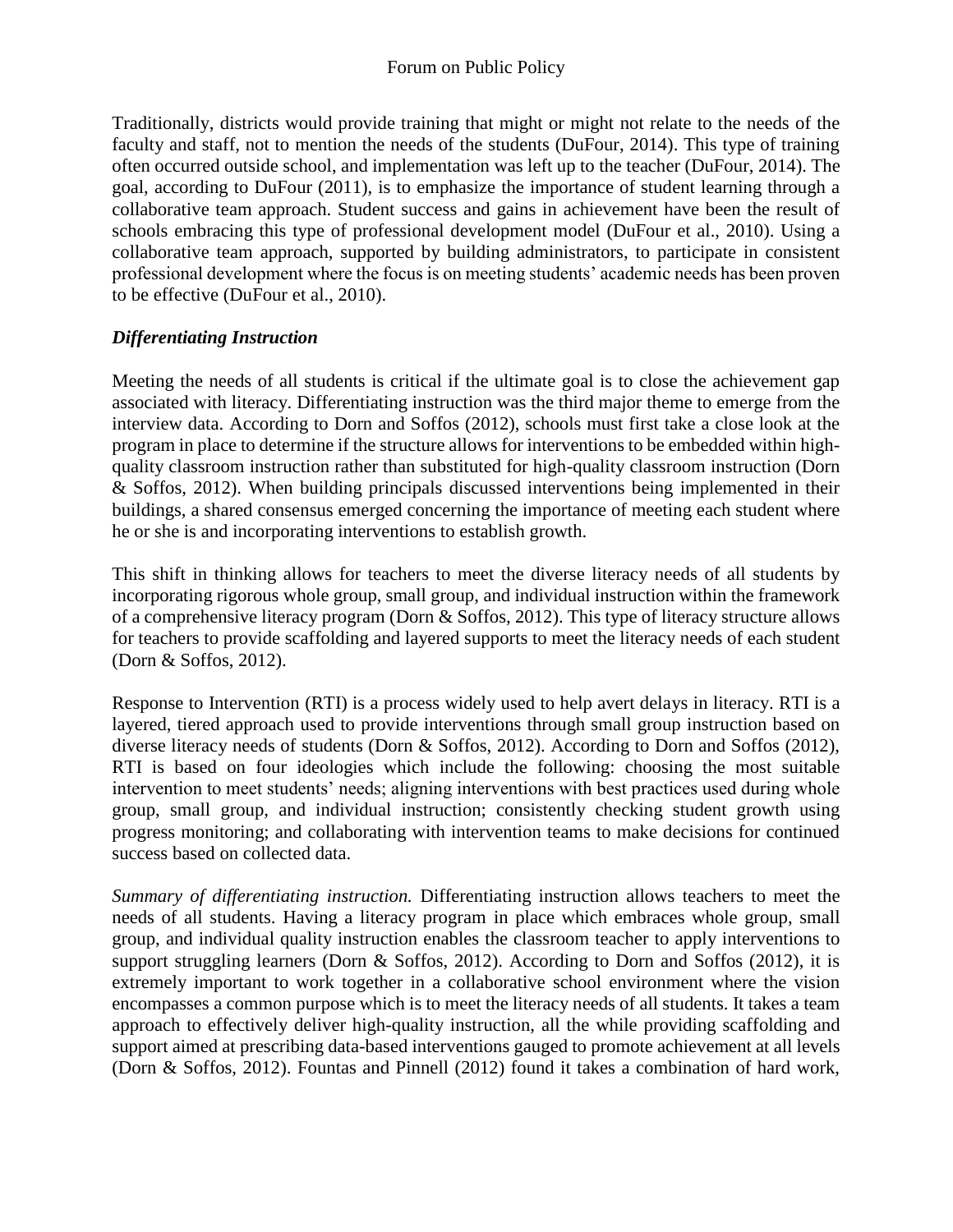Traditionally, districts would provide training that might or might not relate to the needs of the faculty and staff, not to mention the needs of the students (DuFour, 2014). This type of training often occurred outside school, and implementation was left up to the teacher (DuFour, 2014). The goal, according to DuFour (2011), is to emphasize the importance of student learning through a collaborative team approach. Student success and gains in achievement have been the result of schools embracing this type of professional development model (DuFour et al., 2010). Using a collaborative team approach, supported by building administrators, to participate in consistent professional development where the focus is on meeting students' academic needs has been proven to be effective (DuFour et al., 2010).

## *Differentiating Instruction*

Meeting the needs of all students is critical if the ultimate goal is to close the achievement gap associated with literacy. Differentiating instruction was the third major theme to emerge from the interview data. According to Dorn and Soffos (2012), schools must first take a close look at the program in place to determine if the structure allows for interventions to be embedded within highquality classroom instruction rather than substituted for high-quality classroom instruction (Dorn & Soffos, 2012). When building principals discussed interventions being implemented in their buildings, a shared consensus emerged concerning the importance of meeting each student where he or she is and incorporating interventions to establish growth.

This shift in thinking allows for teachers to meet the diverse literacy needs of all students by incorporating rigorous whole group, small group, and individual instruction within the framework of a comprehensive literacy program (Dorn & Soffos, 2012). This type of literacy structure allows for teachers to provide scaffolding and layered supports to meet the literacy needs of each student (Dorn & Soffos, 2012).

Response to Intervention (RTI) is a process widely used to help avert delays in literacy. RTI is a layered, tiered approach used to provide interventions through small group instruction based on diverse literacy needs of students (Dorn & Soffos, 2012). According to Dorn and Soffos (2012), RTI is based on four ideologies which include the following: choosing the most suitable intervention to meet students' needs; aligning interventions with best practices used during whole group, small group, and individual instruction; consistently checking student growth using progress monitoring; and collaborating with intervention teams to make decisions for continued success based on collected data.

*Summary of differentiating instruction.* Differentiating instruction allows teachers to meet the needs of all students. Having a literacy program in place which embraces whole group, small group, and individual quality instruction enables the classroom teacher to apply interventions to support struggling learners (Dorn & Soffos, 2012). According to Dorn and Soffos (2012), it is extremely important to work together in a collaborative school environment where the vision encompasses a common purpose which is to meet the literacy needs of all students. It takes a team approach to effectively deliver high-quality instruction, all the while providing scaffolding and support aimed at prescribing data-based interventions gauged to promote achievement at all levels (Dorn & Soffos, 2012). Fountas and Pinnell (2012) found it takes a combination of hard work,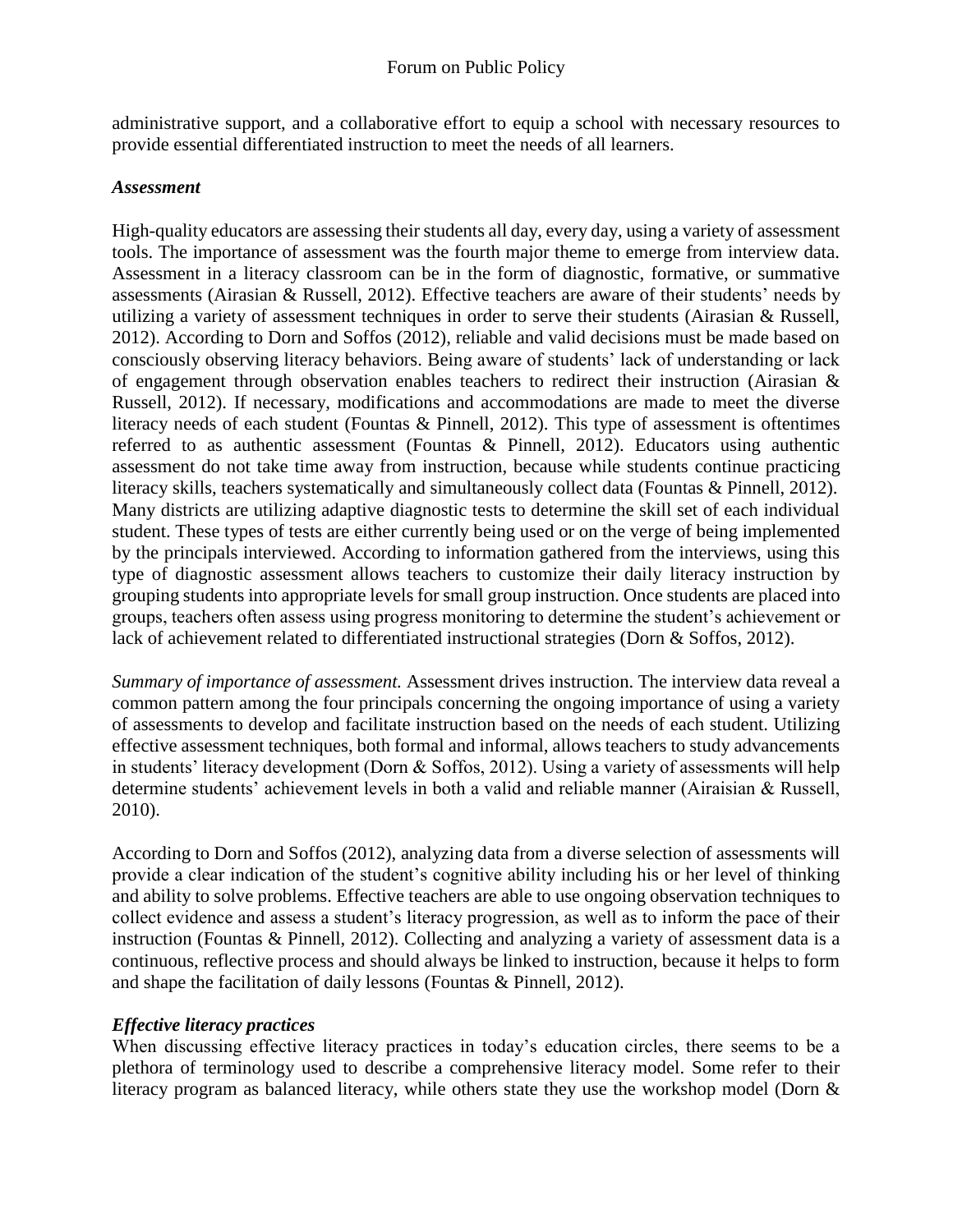administrative support, and a collaborative effort to equip a school with necessary resources to provide essential differentiated instruction to meet the needs of all learners.

#### *Assessment*

High-quality educators are assessing their students all day, every day, using a variety of assessment tools. The importance of assessment was the fourth major theme to emerge from interview data. Assessment in a literacy classroom can be in the form of diagnostic, formative, or summative assessments (Airasian & Russell, 2012). Effective teachers are aware of their students' needs by utilizing a variety of assessment techniques in order to serve their students (Airasian & Russell, 2012). According to Dorn and Soffos (2012), reliable and valid decisions must be made based on consciously observing literacy behaviors. Being aware of students' lack of understanding or lack of engagement through observation enables teachers to redirect their instruction (Airasian  $\&$ Russell, 2012). If necessary, modifications and accommodations are made to meet the diverse literacy needs of each student (Fountas & Pinnell, 2012). This type of assessment is oftentimes referred to as authentic assessment (Fountas & Pinnell, 2012). Educators using authentic assessment do not take time away from instruction, because while students continue practicing literacy skills, teachers systematically and simultaneously collect data (Fountas & Pinnell, 2012). Many districts are utilizing adaptive diagnostic tests to determine the skill set of each individual student. These types of tests are either currently being used or on the verge of being implemented by the principals interviewed. According to information gathered from the interviews, using this type of diagnostic assessment allows teachers to customize their daily literacy instruction by grouping students into appropriate levels for small group instruction. Once students are placed into groups, teachers often assess using progress monitoring to determine the student's achievement or lack of achievement related to differentiated instructional strategies (Dorn & Soffos, 2012).

*Summary of importance of assessment.* Assessment drives instruction. The interview data reveal a common pattern among the four principals concerning the ongoing importance of using a variety of assessments to develop and facilitate instruction based on the needs of each student. Utilizing effective assessment techniques, both formal and informal, allows teachers to study advancements in students' literacy development (Dorn & Soffos, 2012). Using a variety of assessments will help determine students' achievement levels in both a valid and reliable manner (Airaisian & Russell, 2010).

According to Dorn and Soffos (2012), analyzing data from a diverse selection of assessments will provide a clear indication of the student's cognitive ability including his or her level of thinking and ability to solve problems. Effective teachers are able to use ongoing observation techniques to collect evidence and assess a student's literacy progression, as well as to inform the pace of their instruction (Fountas & Pinnell, 2012). Collecting and analyzing a variety of assessment data is a continuous, reflective process and should always be linked to instruction, because it helps to form and shape the facilitation of daily lessons (Fountas & Pinnell, 2012).

### *Effective literacy practices*

When discussing effective literacy practices in today's education circles, there seems to be a plethora of terminology used to describe a comprehensive literacy model. Some refer to their literacy program as balanced literacy, while others state they use the workshop model (Dorn &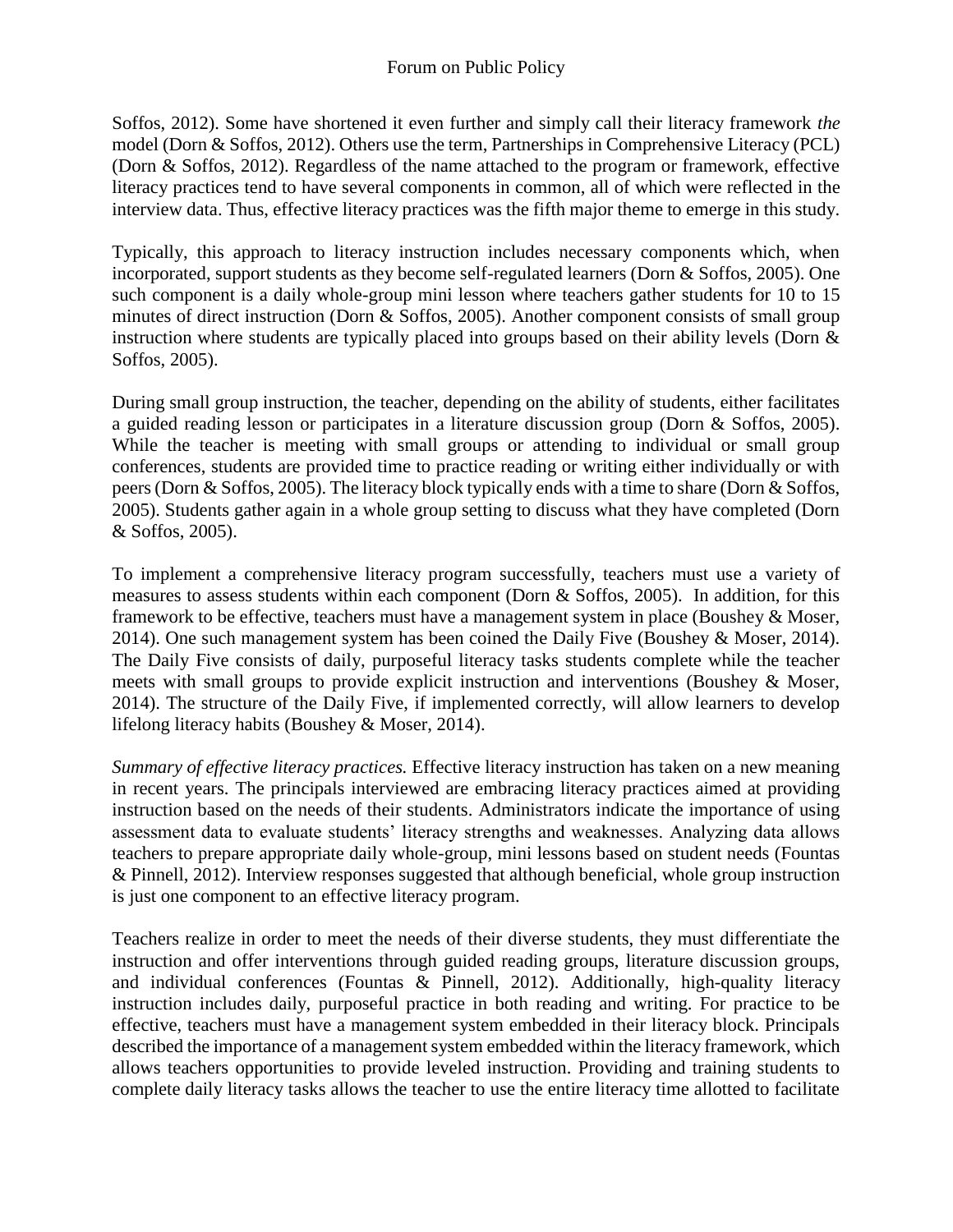Soffos, 2012). Some have shortened it even further and simply call their literacy framework *the* model (Dorn & Soffos, 2012). Others use the term, Partnerships in Comprehensive Literacy (PCL) (Dorn & Soffos, 2012). Regardless of the name attached to the program or framework, effective literacy practices tend to have several components in common, all of which were reflected in the interview data. Thus, effective literacy practices was the fifth major theme to emerge in this study.

Typically, this approach to literacy instruction includes necessary components which, when incorporated, support students as they become self-regulated learners (Dorn & Soffos, 2005). One such component is a daily whole-group mini lesson where teachers gather students for 10 to 15 minutes of direct instruction (Dorn & Soffos, 2005). Another component consists of small group instruction where students are typically placed into groups based on their ability levels (Dorn & Soffos, 2005).

During small group instruction, the teacher, depending on the ability of students, either facilitates a guided reading lesson or participates in a literature discussion group (Dorn & Soffos, 2005). While the teacher is meeting with small groups or attending to individual or small group conferences, students are provided time to practice reading or writing either individually or with peers (Dorn & Soffos, 2005). The literacy block typically ends with a time to share (Dorn & Soffos, 2005). Students gather again in a whole group setting to discuss what they have completed (Dorn & Soffos, 2005).

To implement a comprehensive literacy program successfully, teachers must use a variety of measures to assess students within each component (Dorn & Soffos, 2005). In addition, for this framework to be effective, teachers must have a management system in place (Boushey & Moser, 2014). One such management system has been coined the Daily Five (Boushey & Moser, 2014). The Daily Five consists of daily, purposeful literacy tasks students complete while the teacher meets with small groups to provide explicit instruction and interventions (Boushey & Moser, 2014). The structure of the Daily Five, if implemented correctly, will allow learners to develop lifelong literacy habits (Boushey & Moser, 2014).

*Summary of effective literacy practices.* Effective literacy instruction has taken on a new meaning in recent years. The principals interviewed are embracing literacy practices aimed at providing instruction based on the needs of their students. Administrators indicate the importance of using assessment data to evaluate students' literacy strengths and weaknesses. Analyzing data allows teachers to prepare appropriate daily whole-group, mini lessons based on student needs (Fountas & Pinnell, 2012). Interview responses suggested that although beneficial, whole group instruction is just one component to an effective literacy program.

Teachers realize in order to meet the needs of their diverse students, they must differentiate the instruction and offer interventions through guided reading groups, literature discussion groups, and individual conferences (Fountas & Pinnell, 2012). Additionally, high-quality literacy instruction includes daily, purposeful practice in both reading and writing. For practice to be effective, teachers must have a management system embedded in their literacy block. Principals described the importance of a management system embedded within the literacy framework, which allows teachers opportunities to provide leveled instruction. Providing and training students to complete daily literacy tasks allows the teacher to use the entire literacy time allotted to facilitate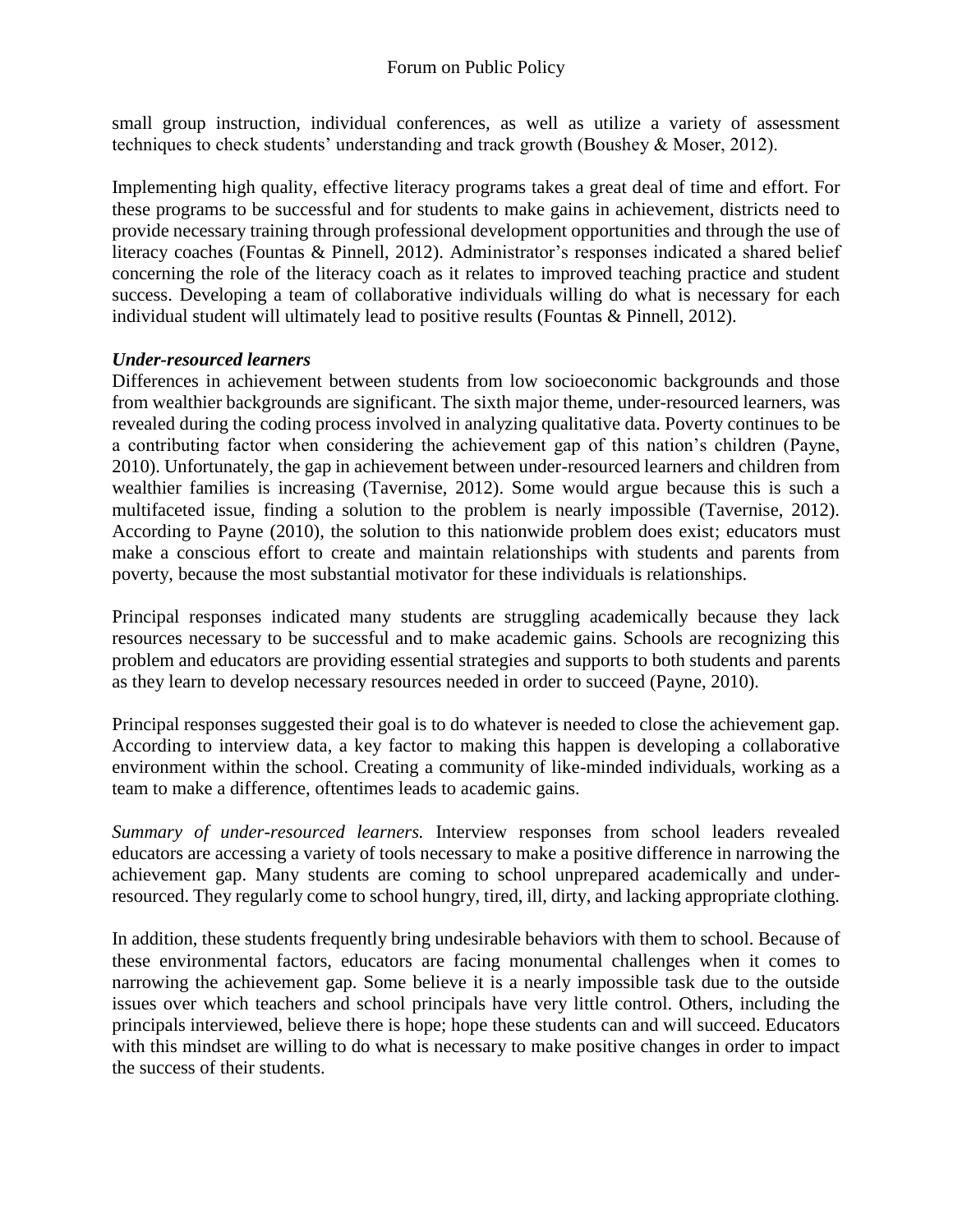small group instruction, individual conferences, as well as utilize a variety of assessment techniques to check students' understanding and track growth (Boushey & Moser, 2012).

Implementing high quality, effective literacy programs takes a great deal of time and effort. For these programs to be successful and for students to make gains in achievement, districts need to provide necessary training through professional development opportunities and through the use of literacy coaches (Fountas & Pinnell, 2012). Administrator's responses indicated a shared belief concerning the role of the literacy coach as it relates to improved teaching practice and student success. Developing a team of collaborative individuals willing do what is necessary for each individual student will ultimately lead to positive results (Fountas & Pinnell, 2012).

#### *Under-resourced learners*

Differences in achievement between students from low socioeconomic backgrounds and those from wealthier backgrounds are significant. The sixth major theme, under-resourced learners, was revealed during the coding process involved in analyzing qualitative data. Poverty continues to be a contributing factor when considering the achievement gap of this nation's children (Payne, 2010). Unfortunately, the gap in achievement between under-resourced learners and children from wealthier families is increasing (Tavernise, 2012). Some would argue because this is such a multifaceted issue, finding a solution to the problem is nearly impossible (Tavernise, 2012). According to Payne (2010), the solution to this nationwide problem does exist; educators must make a conscious effort to create and maintain relationships with students and parents from poverty, because the most substantial motivator for these individuals is relationships.

Principal responses indicated many students are struggling academically because they lack resources necessary to be successful and to make academic gains. Schools are recognizing this problem and educators are providing essential strategies and supports to both students and parents as they learn to develop necessary resources needed in order to succeed (Payne, 2010).

Principal responses suggested their goal is to do whatever is needed to close the achievement gap. According to interview data, a key factor to making this happen is developing a collaborative environment within the school. Creating a community of like-minded individuals, working as a team to make a difference, oftentimes leads to academic gains.

*Summary of under-resourced learners.* Interview responses from school leaders revealed educators are accessing a variety of tools necessary to make a positive difference in narrowing the achievement gap. Many students are coming to school unprepared academically and underresourced. They regularly come to school hungry, tired, ill, dirty, and lacking appropriate clothing.

In addition, these students frequently bring undesirable behaviors with them to school. Because of these environmental factors, educators are facing monumental challenges when it comes to narrowing the achievement gap. Some believe it is a nearly impossible task due to the outside issues over which teachers and school principals have very little control. Others, including the principals interviewed, believe there is hope; hope these students can and will succeed. Educators with this mindset are willing to do what is necessary to make positive changes in order to impact the success of their students.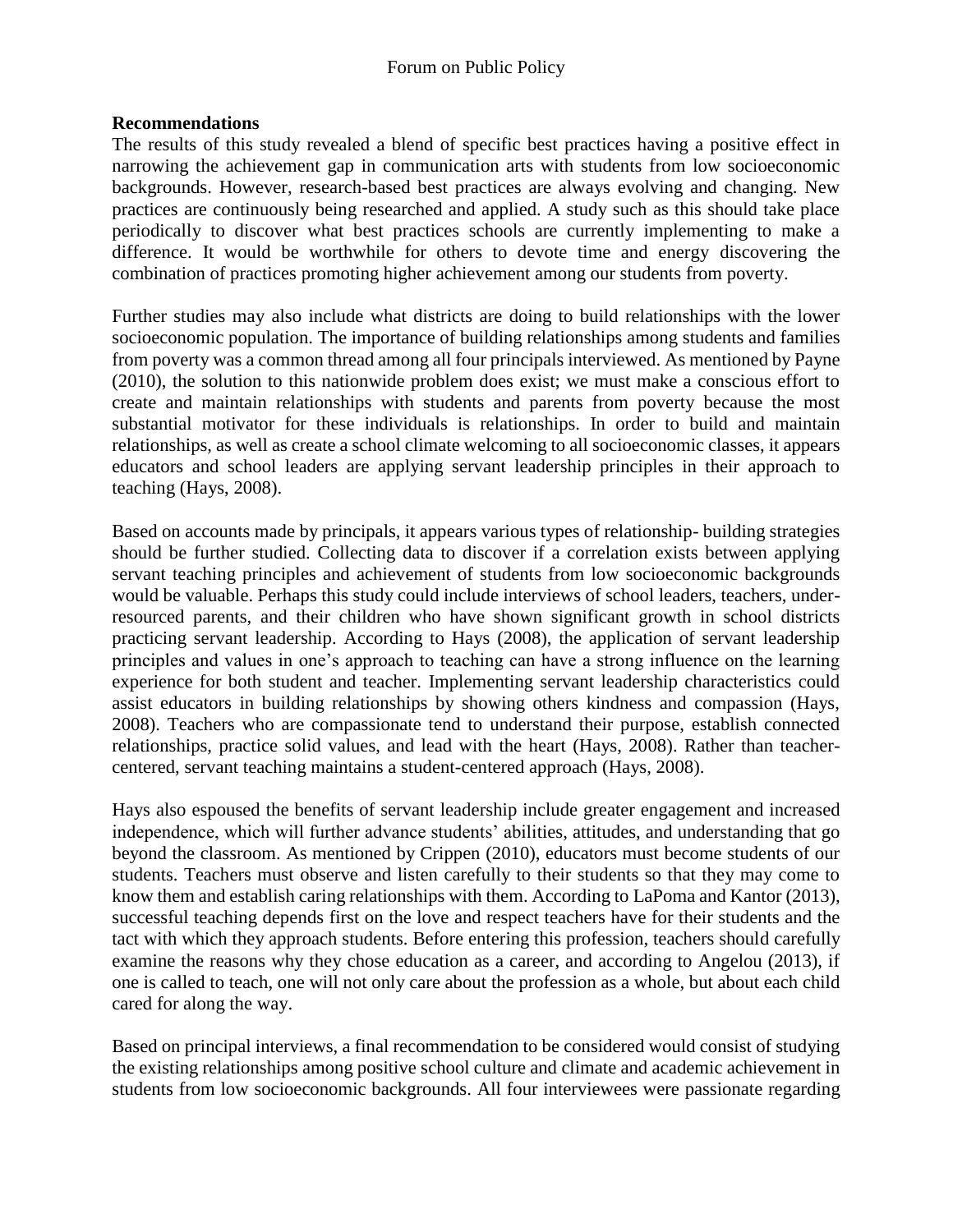#### **Recommendations**

The results of this study revealed a blend of specific best practices having a positive effect in narrowing the achievement gap in communication arts with students from low socioeconomic backgrounds. However, research-based best practices are always evolving and changing. New practices are continuously being researched and applied. A study such as this should take place periodically to discover what best practices schools are currently implementing to make a difference. It would be worthwhile for others to devote time and energy discovering the combination of practices promoting higher achievement among our students from poverty.

Further studies may also include what districts are doing to build relationships with the lower socioeconomic population. The importance of building relationships among students and families from poverty was a common thread among all four principals interviewed. As mentioned by Payne (2010), the solution to this nationwide problem does exist; we must make a conscious effort to create and maintain relationships with students and parents from poverty because the most substantial motivator for these individuals is relationships. In order to build and maintain relationships, as well as create a school climate welcoming to all socioeconomic classes, it appears educators and school leaders are applying servant leadership principles in their approach to teaching (Hays, 2008).

Based on accounts made by principals, it appears various types of relationship- building strategies should be further studied. Collecting data to discover if a correlation exists between applying servant teaching principles and achievement of students from low socioeconomic backgrounds would be valuable. Perhaps this study could include interviews of school leaders, teachers, underresourced parents, and their children who have shown significant growth in school districts practicing servant leadership. According to Hays (2008), the application of servant leadership principles and values in one's approach to teaching can have a strong influence on the learning experience for both student and teacher. Implementing servant leadership characteristics could assist educators in building relationships by showing others kindness and compassion (Hays, 2008). Teachers who are compassionate tend to understand their purpose, establish connected relationships, practice solid values, and lead with the heart (Hays, 2008). Rather than teachercentered, servant teaching maintains a student-centered approach (Hays, 2008).

Hays also espoused the benefits of servant leadership include greater engagement and increased independence, which will further advance students' abilities, attitudes, and understanding that go beyond the classroom. As mentioned by Crippen (2010), educators must become students of our students. Teachers must observe and listen carefully to their students so that they may come to know them and establish caring relationships with them. According to LaPoma and Kantor (2013), successful teaching depends first on the love and respect teachers have for their students and the tact with which they approach students. Before entering this profession, teachers should carefully examine the reasons why they chose education as a career, and according to Angelou (2013), if one is called to teach, one will not only care about the profession as a whole, but about each child cared for along the way.

Based on principal interviews, a final recommendation to be considered would consist of studying the existing relationships among positive school culture and climate and academic achievement in students from low socioeconomic backgrounds. All four interviewees were passionate regarding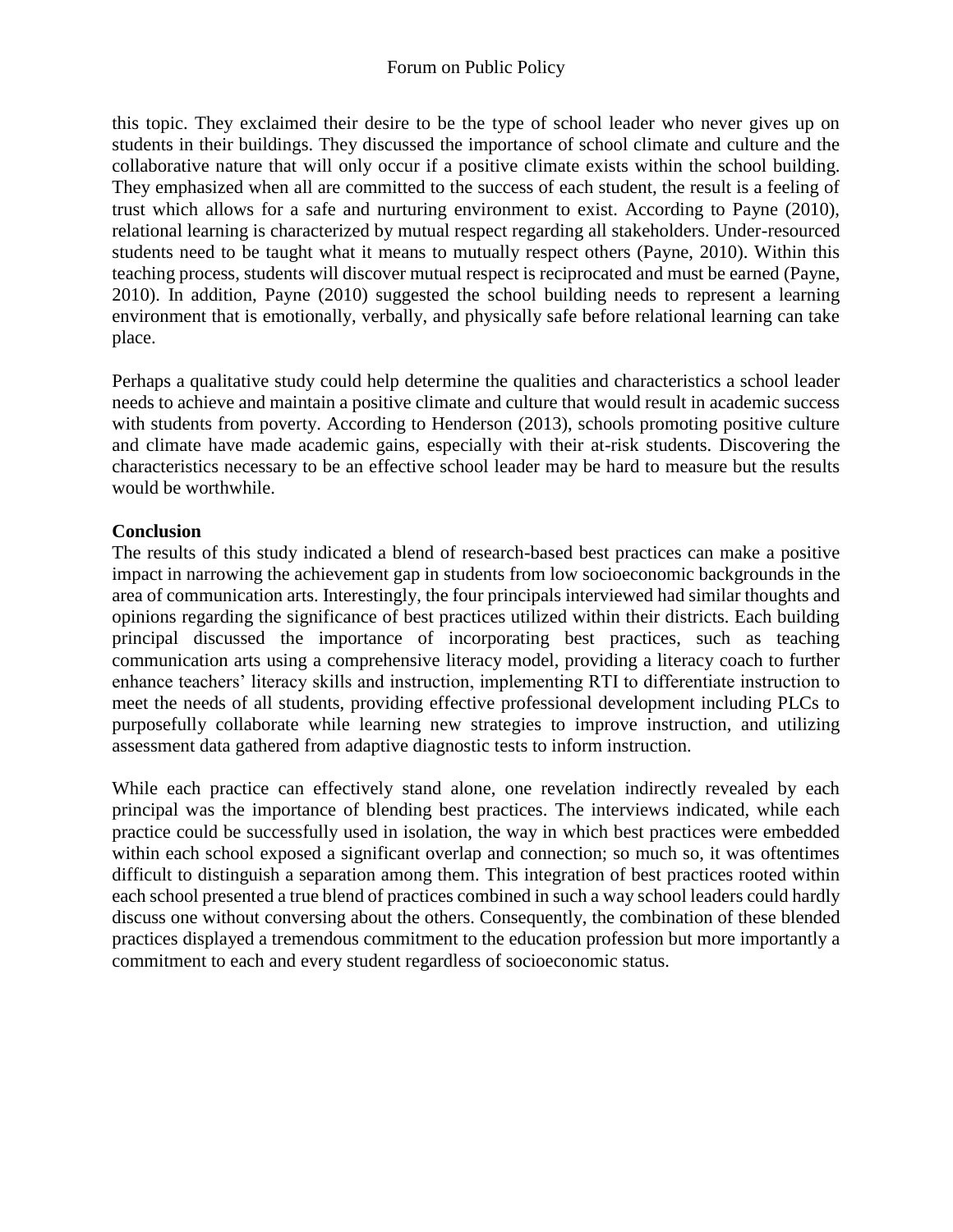this topic. They exclaimed their desire to be the type of school leader who never gives up on students in their buildings. They discussed the importance of school climate and culture and the collaborative nature that will only occur if a positive climate exists within the school building. They emphasized when all are committed to the success of each student, the result is a feeling of trust which allows for a safe and nurturing environment to exist. According to Payne (2010), relational learning is characterized by mutual respect regarding all stakeholders. Under-resourced students need to be taught what it means to mutually respect others (Payne, 2010). Within this teaching process, students will discover mutual respect is reciprocated and must be earned (Payne, 2010). In addition, Payne (2010) suggested the school building needs to represent a learning environment that is emotionally, verbally, and physically safe before relational learning can take place.

Perhaps a qualitative study could help determine the qualities and characteristics a school leader needs to achieve and maintain a positive climate and culture that would result in academic success with students from poverty. According to Henderson (2013), schools promoting positive culture and climate have made academic gains, especially with their at-risk students. Discovering the characteristics necessary to be an effective school leader may be hard to measure but the results would be worthwhile.

## **Conclusion**

The results of this study indicated a blend of research-based best practices can make a positive impact in narrowing the achievement gap in students from low socioeconomic backgrounds in the area of communication arts. Interestingly, the four principals interviewed had similar thoughts and opinions regarding the significance of best practices utilized within their districts. Each building principal discussed the importance of incorporating best practices, such as teaching communication arts using a comprehensive literacy model, providing a literacy coach to further enhance teachers' literacy skills and instruction, implementing RTI to differentiate instruction to meet the needs of all students, providing effective professional development including PLCs to purposefully collaborate while learning new strategies to improve instruction, and utilizing assessment data gathered from adaptive diagnostic tests to inform instruction.

While each practice can effectively stand alone, one revelation indirectly revealed by each principal was the importance of blending best practices. The interviews indicated, while each practice could be successfully used in isolation, the way in which best practices were embedded within each school exposed a significant overlap and connection; so much so, it was oftentimes difficult to distinguish a separation among them. This integration of best practices rooted within each school presented a true blend of practices combined in such a way school leaders could hardly discuss one without conversing about the others. Consequently, the combination of these blended practices displayed a tremendous commitment to the education profession but more importantly a commitment to each and every student regardless of socioeconomic status.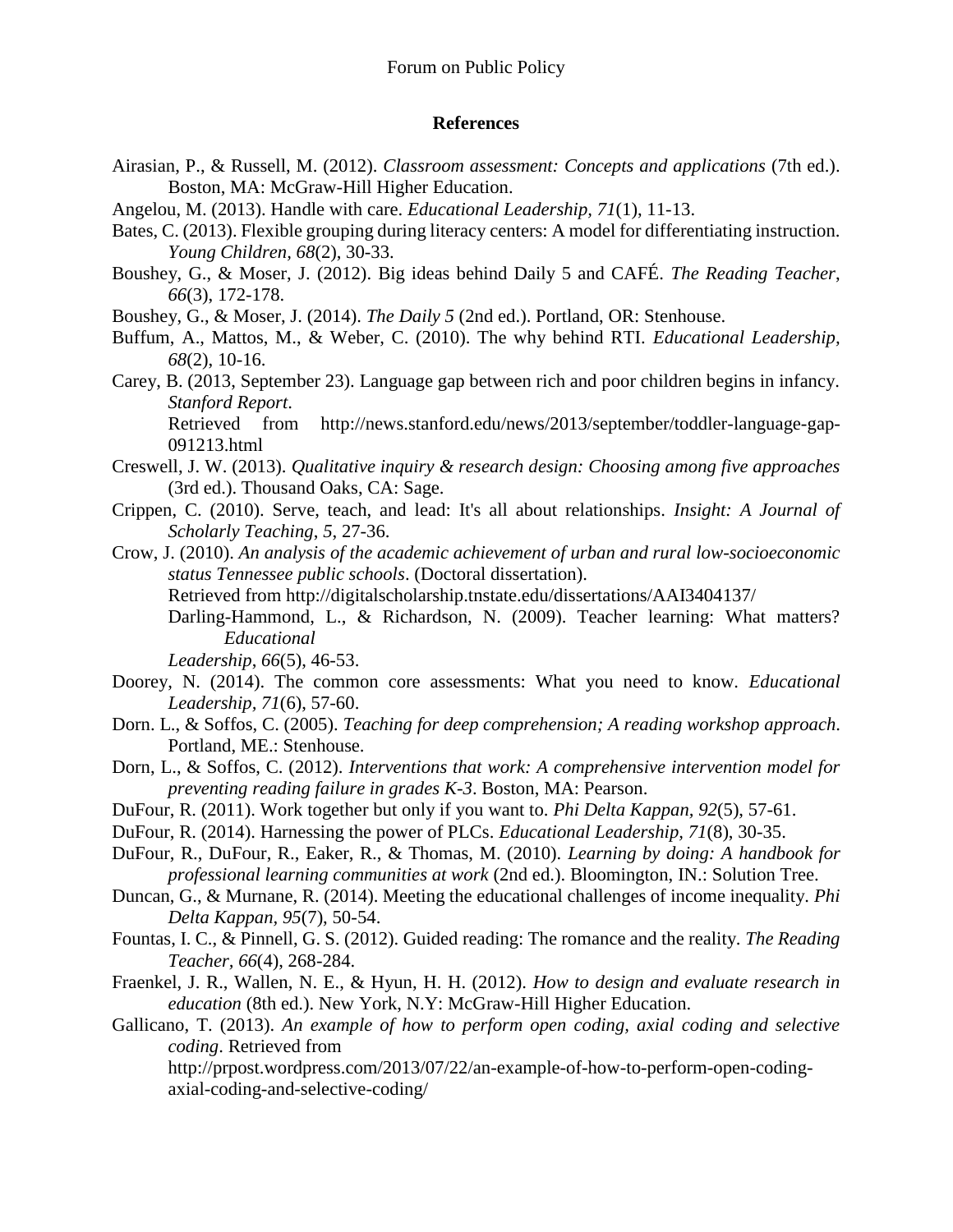#### **References**

- Airasian, P., & Russell, M. (2012). *Classroom assessment: Concepts and applications* (7th ed.). Boston, MA: McGraw-Hill Higher Education.
- Angelou, M. (2013). Handle with care. *Educational Leadership, 71*(1), 11-13.
- Bates, C. (2013). Flexible grouping during literacy centers: A model for differentiating instruction. *Young Children, 68*(2), 30-33.
- Boushey, G., & Moser, J. (2012). Big ideas behind Daily 5 and CAFÉ. *The Reading Teacher*, *66*(3), 172-178.
- Boushey, G., & Moser, J. (2014). *The Daily 5* (2nd ed.). Portland, OR: Stenhouse.
- Buffum, A., Mattos, M., & Weber, C. (2010). The why behind RTI. *Educational Leadership, 68*(2), 10-16.
- Carey, B. (2013, September 23). Language gap between rich and poor children begins in infancy. *Stanford Report*.

Retrieved from [http://news.stanford.edu/news/2013/september/toddler-language-gap-](http://news.stanford.edu/news/2013/september/toddler-language-gap-091213.html)[091213.html](http://news.stanford.edu/news/2013/september/toddler-language-gap-091213.html)

- Creswell, J. W. (2013). *Qualitative inquiry & research design: Choosing among five approaches* (3rd ed.). Thousand Oaks, CA: Sage.
- Crippen, C. (2010). Serve, teach, and lead: It's all about relationships. *Insight: A Journal of Scholarly Teaching*, *5*, 27-36.
- Crow, J. (2010). *An analysis of the academic achievement of urban and rural low-socioeconomic status Tennessee public schools*. (Doctoral dissertation).

Retrieved from<http://digitalscholarship.tnstate.edu/dissertations/AAI3404137/>

Darling-Hammond, L., & Richardson, N. (2009). Teacher learning: What matters? *Educational*

*Leadership*, *66*(5), 46-53.

- Doorey, N. (2014). The common core assessments: What you need to know. *Educational Leadership, 71*(6), 57-60.
- Dorn. L., & Soffos, C. (2005). *Teaching for deep comprehension; A reading workshop approach*. Portland, ME.: Stenhouse.
- Dorn, L., & Soffos, C. (2012). *Interventions that work: A comprehensive intervention model for preventing reading failure in grades K-3*. Boston, MA: Pearson.
- DuFour, R. (2011). Work together but only if you want to. *Phi Delta Kappan, 92*(5), 57-61.
- DuFour, R. (2014). Harnessing the power of PLCs. *Educational Leadership, 71*(8), 30-35.
- DuFour, R., DuFour, R., Eaker, R., & Thomas, M. (2010). *Learning by doing: A handbook for professional learning communities at work* (2nd ed.). Bloomington, IN.: Solution Tree.
- Duncan, G., & Murnane, R. (2014). Meeting the educational challenges of income inequality. *Phi Delta Kappan, 95*(7), 50-54.
- Fountas, I. C., & Pinnell, G. S. (2012). Guided reading: The romance and the reality. *The Reading Teacher, 66*(4), 268-284.
- Fraenkel, J. R., Wallen, N. E., & Hyun, H. H. (2012). *How to design and evaluate research in education* (8th ed.). New York, N.Y: McGraw-Hill Higher Education.
- Gallicano, T. (2013). *An example of how to perform open coding, axial coding and selective coding*. Retrieved from

[http://prpost.wordpress.com/2013/07/22/an-example-of-how-to-perform-open-coding](http://prpost.wordpress.com/2013/07/22/an-example-of-how-to-perform-open-coding-axial-coding-and-selective-coding/)[axial-coding-and-selective-coding/](http://prpost.wordpress.com/2013/07/22/an-example-of-how-to-perform-open-coding-axial-coding-and-selective-coding/)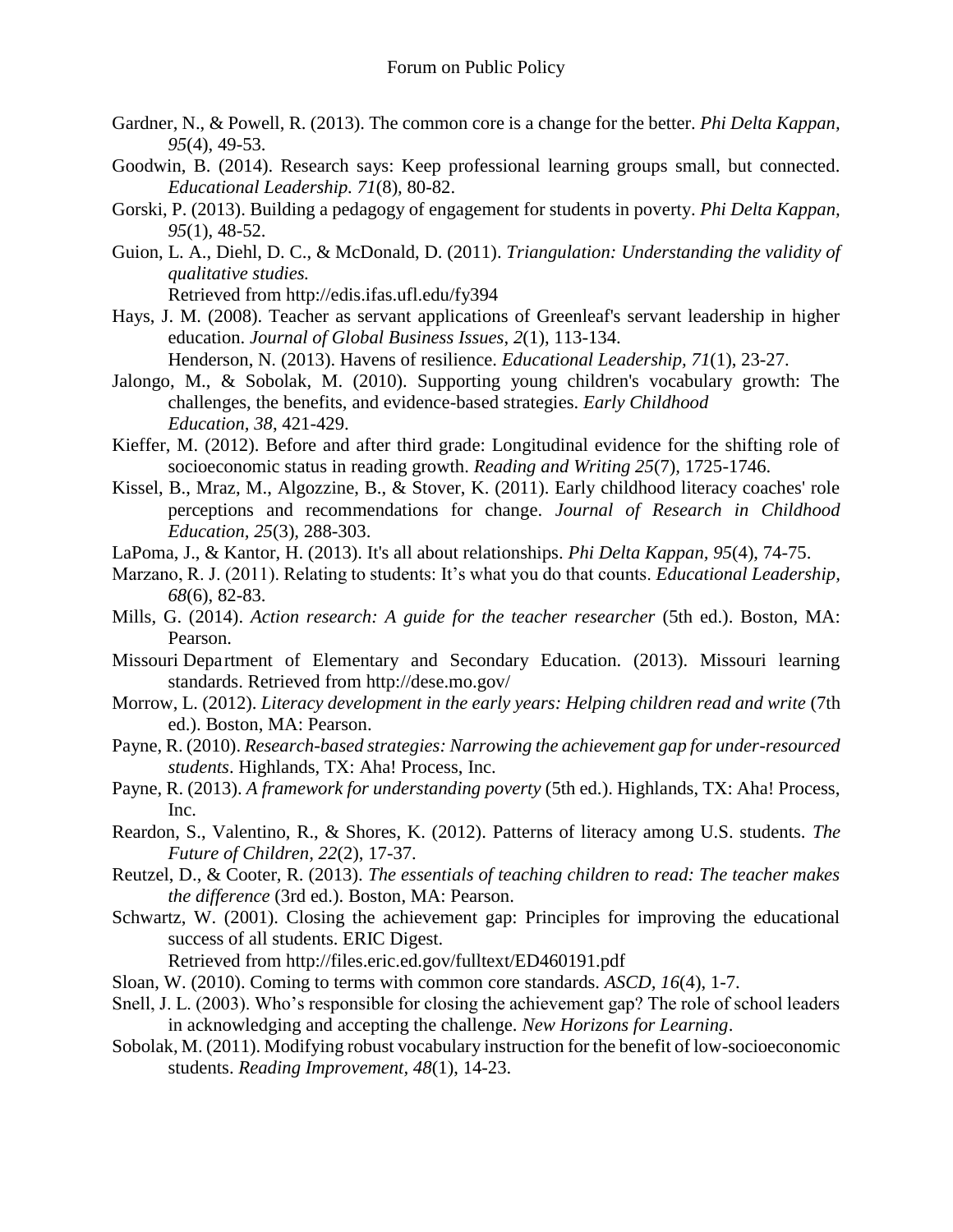- Gardner, N., & Powell, R. (2013). The common core is a change for the better. *Phi Delta Kappan, 95*(4), 49-53.
- Goodwin, B. (2014). Research says: Keep professional learning groups small, but connected. *Educational Leadership. 71*(8)*,* 80-82.
- Gorski, P. (2013). Building a pedagogy of engagement for students in poverty. *Phi Delta Kappan, 95*(1), 48-52.
- Guion, L. A., Diehl, D. C., & McDonald, D. (2011). *Triangulation: Understanding the validity of qualitative studies.* Retrieved from<http://edis.ifas.ufl.edu/fy394>
- Hays, J. M. (2008). Teacher as servant applications of Greenleaf's servant leadership in higher education. *Journal of Global Business Issues*, *2*(1), 113-134.

Henderson, N. (2013). Havens of resilience. *Educational Leadership, 71*(1), 23-27.

- Jalongo, M., & Sobolak, M. (2010). Supporting young children's vocabulary growth: The challenges, the benefits, and evidence-based strategies. *Early Childhood Education, 38*, 421-429.
- Kieffer, M. (2012). Before and after third grade: Longitudinal evidence for the shifting role of socioeconomic status in reading growth. *Reading and Writing 25*(7)*,* 1725-1746.
- Kissel, B., Mraz, M., Algozzine, B., & Stover, K. (2011). Early childhood literacy coaches' role perceptions and recommendations for change. *Journal of Research in Childhood Education, 25*(3)*,* 288-303.
- LaPoma, J., & Kantor, H. (2013). It's all about relationships. *Phi Delta Kappan, 95*(4), 74-75.
- Marzano, R. J. (2011). Relating to students: It's what you do that counts. *Educational Leadership, 68*(6), 82-83.
- Mills, G. (2014). *Action research: A guide for the teacher researcher* (5th ed.). Boston, MA: Pearson.
- Missouri Department of Elementary and Secondary Education. (2013). Missouri learning standards. Retrieved from<http://dese.mo.gov/>
- Morrow, L. (2012). *Literacy development in the early years: Helping children read and write* (7th ed.). Boston, MA: Pearson.
- Payne, R. (2010). *Research-based strategies: Narrowing the achievement gap for under-resourced students*. Highlands, TX: Aha! Process, Inc.
- Payne, R. (2013). *A framework for understanding poverty* (5th ed.). Highlands, TX: Aha! Process, Inc.
- Reardon, S., Valentino, R., & Shores, K. (2012). Patterns of literacy among U.S. students. *The Future of Children, 22*(2), 17-37.
- Reutzel, D., & Cooter, R. (2013). *The essentials of teaching children to read: The teacher makes the difference* (3rd ed.). Boston, MA: Pearson.
- Schwartz, W. (2001). Closing the achievement gap: Principles for improving the educational success of all students. ERIC Digest.

Retrieved from http://files.eric.ed.gov/fulltext/ED460191.pdf

- Sloan, W. (2010). Coming to terms with common core standards. *ASCD, 16*(4), 1-7.
- Snell, J. L. (2003). Who's responsible for closing the achievement gap? The role of school leaders in acknowledging and accepting the challenge. *New Horizons for Learning*.
- Sobolak, M. (2011). Modifying robust vocabulary instruction for the benefit of low-socioeconomic students. *Reading Improvement, 48*(1), 14-23.